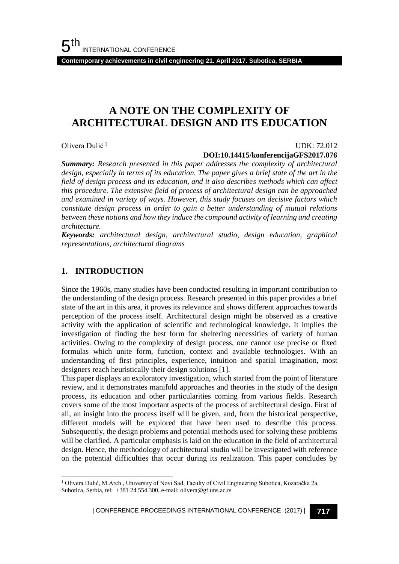**Contemporary achievements in civil engineering 21. April 2017. Subotica, SERBIA**

## **A NOTE ON THE COMPLEXITY OF ARCHITECTURAL DESIGN AND ITS EDUCATION**

Olivera Dulić <sup>1</sup>

#### UDK: 72.012

#### **DOI:10.14415/konferencijaGFS2017.076**

*Summary: Research presented in this paper addresses the complexity of architectural design, especially in terms of its education. The paper gives a brief state of the art in the field of design process and its education, and it also describes methods which can affect this procedure. The extensive field of process of architectural design can be approached and examined in variety of ways. However, this study focuses on decisive factors which constitute design process in order to gain a better understanding of mutual relations between these notions and how they induce the compound activity of learning and creating architecture.*

*Keywords: architectural design, architectural studio, design education, graphical representations, architectural diagrams*

#### **1. INTRODUCTION**

l

Since the 1960s, many studies have been conducted resulting in important contribution to the understanding of the design process. Research presented in this paper provides a brief state of the art in this area, it proves its relevance and shows different approaches towards perception of the process itself. Architectural design might be observed as a creative activity with the application of scientific and technological knowledge. It implies the investigation of finding the best form for sheltering necessities of variety of human activities. Owing to the complexity of design process, one cannot use precise or fixed formulas which unite form, function, context and available technologies. With an understanding of first principles, experience, intuition and spatial imagination, most designers reach heuristically their design solutions [1].

This paper displays an exploratory investigation, which started from the point of literature review, and it demonstrates manifold approaches and theories in the study of the design process, its education and other particularities coming from various fields. Research covers some of the most important aspects of the process of architectural design. First of all, an insight into the process itself will be given, and, from the historical perspective, different models will be explored that have been used to describe this process. Subsequently, the design problems and potential methods used for solving these problems will be clarified. A particular emphasis is laid on the education in the field of architectural design. Hence, the methodology of architectural studio will be investigated with reference on the potential difficulties that occur during its realization. This paper concludes by

<sup>1</sup> Olivera Dulić, M.Arch., University of Novi Sad, Faculty of Civil Engineering Subotica, Kozaračka 2a, Subotica, Serbia, tel: +381 24 554 300, e-mail: olivera@gf.uns.ac.rs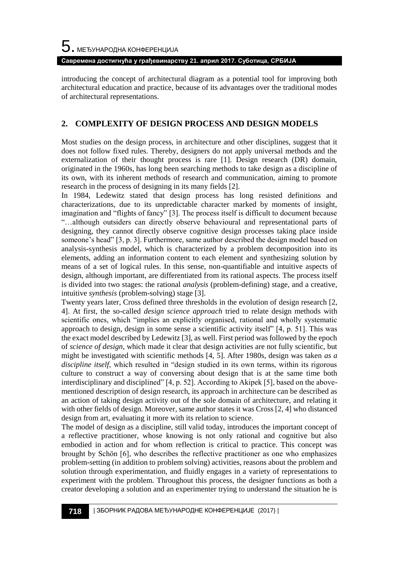introducing the concept of architectural diagram as a potential tool for improving both architectural education and practice, because of its advantages over the traditional modes of architectural representations.

#### **2. COMPLEXITY OF DESIGN PROCESS AND DESIGN MODELS**

Most studies on the design process, in architecture and other disciplines, suggest that it does not follow fixed rules. Thereby, designers do not apply universal methods and the externalization of their thought process is rare [1]. Design research (DR) domain, originated in the 1960s, has long been searching methods to take design as a discipline of its own, with its inherent methods of research and communication, aiming to promote research in the process of designing in its many fields [2].

In 1984, Ledewitz stated that design process has long resisted definitions and characterizations, due to its unpredictable character marked by moments of insight, imagination and "flights of fancy" [3]. The process itself is difficult to document because "…although outsiders can directly observe behavioural and representational parts of designing, they cannot directly observe cognitive design processes taking place inside someone's head" [3, p. 3]. Furthermore, same author described the design model based on analysis-synthesis model, which is characterized by a problem decomposition into its elements, adding an information content to each element and synthesizing solution by means of a set of logical rules. In this sense, non-quantifiable and intuitive aspects of design, although important, are differentiated from its rational aspects. The process itself is divided into two stages: the rational *analysis* (problem-defining) stage, and a creative, intuitive *synthesis* (problem-solving) stage [3].

Twenty years later, Cross defined three thresholds in the evolution of design research [2, 4]. At first, the so-called *design science approach* tried to relate design methods with scientific ones, which "implies an explicitly organised, rational and wholly systematic approach to design, design in some sense a scientific activity itself" [4, p. 51]. This was the exact model described by Ledewitz [3], as well. First period was followed by the epoch of *science of design*, which made it clear that design activities are not fully scientific, but might be investigated with scientific methods [4, 5]. After 1980s, design was taken *as a discipline itself*, which resulted in "design studied in its own terms, within its rigorous culture to construct a way of conversing about design that is at the same time both interdisciplinary and disciplined" [4, p. 52]. According to Akipek [5], based on the abovementioned description of design research, its approach in architecture can be described as an action of taking design activity out of the sole domain of architecture, and relating it with other fields of design. Moreover, same author states it was Cross [2, 4] who distanced design from art, evaluating it more with its relation to science.

The model of design as a discipline, still valid today, introduces the important concept of a reflective practitioner, whose knowing is not only rational and cognitive but also embodied in action and for whom reflection is critical to practice. This concept was brought by Schön [6], who describes the reflective practitioner as one who emphasizes problem-setting (in addition to problem solving) activities, reasons about the problem and solution through experimentation, and fluidly engages in a variety of representations to experiment with the problem. Throughout this process, the designer functions as both a creator developing a solution and an experimenter trying to understand the situation he is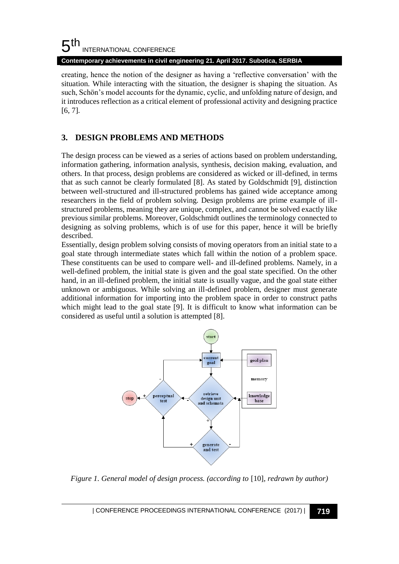#### $5<sup>th</sup>$ INTERNATIONAL CONFERENCE

**Contemporary achievements in civil engineering 21. April 2017. Subotica, SERBIA**

creating, hence the notion of the designer as having a 'reflective conversation' with the situation. While interacting with the situation, the designer is shaping the situation. As such, Schön's model accounts for the dynamic, cyclic, and unfolding nature of design, and it introduces reflection as a critical element of professional activity and designing practice [6, 7].

## **3. DESIGN PROBLEMS AND METHODS**

The design process can be viewed as a series of actions based on problem understanding, information gathering, information analysis, synthesis, decision making, evaluation, and others. In that process, design problems are considered as wicked or ill-defined, in terms that as such cannot be clearly formulated [8]. As stated by Goldschmidt [9], distinction between well-structured and ill-structured problems has gained wide acceptance among researchers in the field of problem solving. Design problems are prime example of illstructured problems, meaning they are unique, complex, and cannot be solved exactly like previous similar problems. Moreover, Goldschmidt outlines the terminology connected to designing as solving problems, which is of use for this paper, hence it will be briefly described.

Essentially, design problem solving consists of moving operators from an initial state to a goal state through intermediate states which fall within the notion of a problem space. These constituents can be used to compare well- and ill-defined problems. Namely, in a well-defined problem, the initial state is given and the goal state specified. On the other hand, in an ill-defined problem, the initial state is usually vague, and the goal state either unknown or ambiguous. While solving an ill-defined problem, designer must generate additional information for importing into the problem space in order to construct paths which might lead to the goal state [9]. It is difficult to know what information can be considered as useful until a solution is attempted [8].



*Figure 1. General model of design process. (according to* [10]*, redrawn by author)*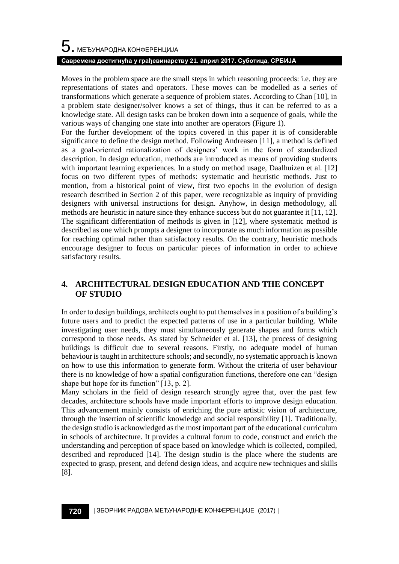# $\mathbf 5$ . међународна конференција

#### **Савремена достигнућа у грађевинарству 21. април 2017. Суботица, СРБИЈА**

Moves in the problem space are the small steps in which reasoning proceeds: i.e. they are representations of states and operators. These moves can be modelled as a series of transformations which generate a sequence of problem states. According to Chan [10], in a problem state designer/solver knows a set of things, thus it can be referred to as a knowledge state. All design tasks can be broken down into a sequence of goals, while the various ways of changing one state into another are operators (Figure 1).

For the further development of the topics covered in this paper it is of considerable significance to define the design method. Following Andreasen [11], a method is defined as a goal-oriented rationalization of designers' work in the form of standardized description. In design education, methods are introduced as means of providing students with important learning experiences. In a study on method usage, Daalhuizen et al. [12] focus on two different types of methods: systematic and heuristic methods. Just to mention, from a historical point of view, first two epochs in the evolution of design research described in Section 2 of this paper, were recognizable as inquiry of providing designers with universal instructions for design. Anyhow, in design methodology, all methods are heuristic in nature since they enhance success but do not guarantee it [11, 12]. The significant differentiation of methods is given in [12], where systematic method is described as one which prompts a designer to incorporate as much information as possible for reaching optimal rather than satisfactory results. On the contrary, heuristic methods encourage designer to focus on particular pieces of information in order to achieve satisfactory results.

#### **4. ARCHITECTURAL DESIGN EDUCATION AND THE CONCEPT OF STUDIO**

In order to design buildings, architects ought to put themselves in a position of a building's future users and to predict the expected patterns of use in a particular building. While investigating user needs, they must simultaneously generate shapes and forms which correspond to those needs. As stated by Schneider et al. [13], the process of designing buildings is difficult due to several reasons. Firstly, no adequate model of human behaviour is taught in architecture schools; and secondly, no systematic approach is known on how to use this information to generate form. Without the criteria of user behaviour there is no knowledge of how a spatial configuration functions, therefore one can "design shape but hope for its function" [13, p. 2].

Many scholars in the field of design research strongly agree that, over the past few decades, architecture schools have made important efforts to improve design education. This advancement mainly consists of enriching the pure artistic vision of architecture, through the insertion of scientific knowledge and social responsibility [1]. Traditionally, the design studio is acknowledged as the most important part of the educational curriculum in schools of architecture. It provides a cultural forum to code, construct and enrich the understanding and perception of space based on knowledge which is collected, compiled, described and reproduced [14]. The design studio is the place where the students are expected to grasp, present, and defend design ideas, and acquire new techniques and skills [8].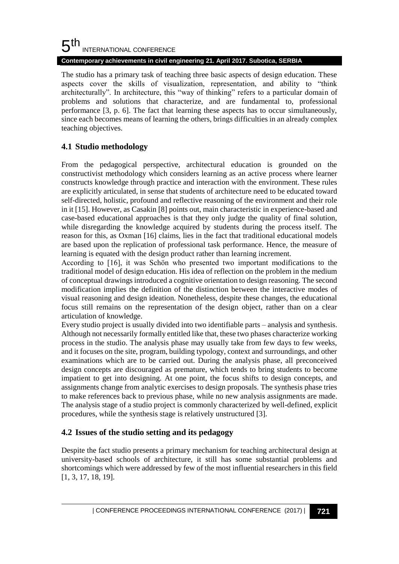#### 5 th INTERNATIONAL CONFERENCE **Contemporary achievements in civil engineering 21. April 2017. Subotica, SERBIA**

The studio has a primary task of teaching three basic aspects of design education. These aspects cover the skills of visualization, representation, and ability to "think architecturally". In architecture, this "way of thinking" refers to a particular domain of problems and solutions that characterize, and are fundamental to, professional performance [3, p. 6]. The fact that learning these aspects has to occur simultaneously, since each becomes means of learning the others, brings difficulties in an already complex teaching objectives.

## **4.1 Studio methodology**

From the pedagogical perspective, architectural education is grounded on the constructivist methodology which considers learning as an active process where learner constructs knowledge through practice and interaction with the environment. These rules are explicitly articulated, in sense that students of architecture need to be educated toward self-directed, holistic, profound and reflective reasoning of the environment and their role in it [15]. However, as Casakin [8] points out, main characteristic in experience-based and case-based educational approaches is that they only judge the quality of final solution, while disregarding the knowledge acquired by students during the process itself. The reason for this, as Oxman [16] claims, lies in the fact that traditional educational models are based upon the replication of professional task performance. Hence, the measure of learning is equated with the design product rather than learning increment.

According to [16], it was Schön who presented two important modifications to the traditional model of design education. His idea of reflection on the problem in the medium of conceptual drawings introduced a cognitive orientation to design reasoning. The second modification implies the definition of the distinction between the interactive modes of visual reasoning and design ideation. Nonetheless, despite these changes, the educational focus still remains on the representation of the design object, rather than on a clear articulation of knowledge.

Every studio project is usually divided into two identifiable parts – analysis and synthesis. Although not necessarily formally entitled like that, these two phases characterize working process in the studio. The analysis phase may usually take from few days to few weeks, and it focuses on the site, program, building typology, context and surroundings, and other examinations which are to be carried out. During the analysis phase, all preconceived design concepts are discouraged as premature, which tends to bring students to become impatient to get into designing. At one point, the focus shifts to design concepts, and assignments change from analytic exercises to design proposals. The synthesis phase tries to make references back to previous phase, while no new analysis assignments are made. The analysis stage of a studio project is commonly characterized by well-defined, explicit procedures, while the synthesis stage is relatively unstructured [3].

#### **4.2 Issues of the studio setting and its pedagogy**

Despite the fact studio presents a primary mechanism for teaching architectural design at university-based schools of architecture, it still has some substantial problems and shortcomings which were addressed by few of the most influential researchers in this field [1, 3, 17, 18, 19].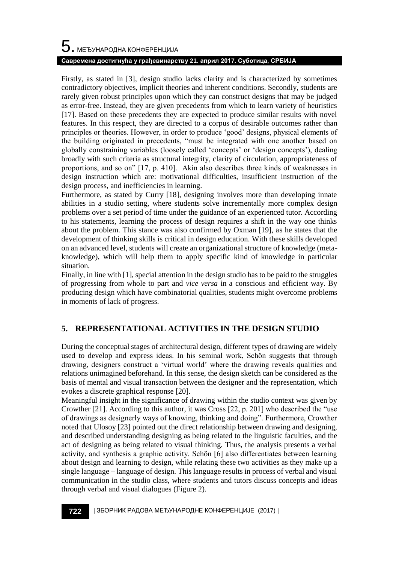# $\mathbf 5$ . међународна конференција **Савремена достигнућа у грађевинарству 21. април 2017. Суботица, СРБИЈА**

Firstly, as stated in [3], design studio lacks clarity and is characterized by sometimes contradictory objectives, implicit theories and inherent conditions. Secondly, students are rarely given robust principles upon which they can construct designs that may be judged as error-free. Instead, they are given precedents from which to learn variety of heuristics [17]. Based on these precedents they are expected to produce similar results with novel features. In this respect, they are directed to a corpus of desirable outcomes rather than principles or theories. However, in order to produce 'good' designs, physical elements of the building originated in precedents, "must be integrated with one another based on globally constraining variables (loosely called 'concepts' or 'design concepts'), dealing broadly with such criteria as structural integrity, clarity of circulation, appropriateness of proportions, and so on" [17, p. 410]. Akin also describes three kinds of weaknesses in design instruction which are: motivational difficulties, insufficient instruction of the design process, and inefficiencies in learning.

Furthermore, as stated by Curry [18], designing involves more than developing innate abilities in a studio setting, where students solve incrementally more complex design problems over a set period of time under the guidance of an experienced tutor. According to his statements, learning the process of design requires a shift in the way one thinks about the problem. This stance was also confirmed by Oxman [19], as he states that the development of thinking skills is critical in design education. With these skills developed on an advanced level, students will create an organizational structure of knowledge (metaknowledge), which will help them to apply specific kind of knowledge in particular situation.

Finally, in line with [1], special attention in the design studio has to be paid to the struggles of progressing from whole to part and *vice versa* in a conscious and efficient way. By producing design which have combinatorial qualities, students might overcome problems in moments of lack of progress.

## **5. REPRESENTATIONAL ACTIVITIES IN THE DESIGN STUDIO**

During the conceptual stages of architectural design, different types of drawing are widely used to develop and express ideas. In his seminal work, Schön suggests that through drawing, designers construct a 'virtual world' where the drawing reveals qualities and relations unimagined beforehand. In this sense, the design sketch can be considered as the basis of mental and visual transaction between the designer and the representation, which evokes a discrete graphical response [20].

Meaningful insight in the significance of drawing within the studio context was given by Crowther [21]. According to this author, it was Cross [22, p. 201] who described the "use of drawings as designerly ways of knowing, thinking and doing". Furthermore, Crowther noted that Ulosoy [23] pointed out the direct relationship between drawing and designing, and described understanding designing as being related to the linguistic faculties, and the act of designing as being related to visual thinking. Thus, the analysis presents a verbal activity, and synthesis a graphic activity. Schön [6] also differentiates between learning about design and learning to design, while relating these two activities as they make up a single language – language of design. This language results in process of verbal and visual communication in the studio class, where students and tutors discuss concepts and ideas through verbal and visual dialogues (Figure 2).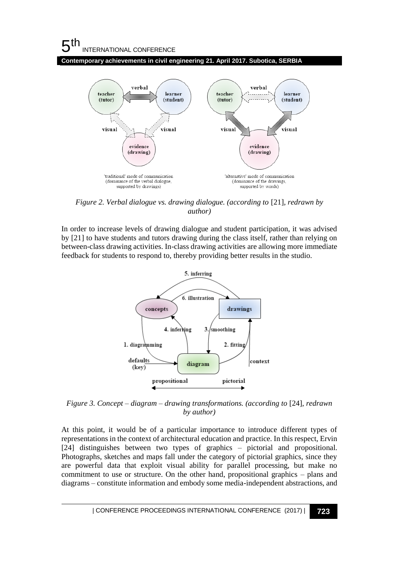## $5<sup>th</sup>$ INTERNATIONAL CONFERENCE

**Contemporary achievements in civil engineering 21. April 2017. Subotica, SERBIA**



*Figure 2. Verbal dialogue vs. drawing dialogue. (according to* [21]*, redrawn by author)*

In order to increase levels of drawing dialogue and student participation, it was advised by [21] to have students and tutors drawing during the class itself, rather than relying on between-class drawing activities. In-class drawing activities are allowing more immediate feedback for students to respond to, thereby providing better results in the studio.



*Figure 3. Concept – diagram – drawing transformations. (according to* [24]*, redrawn by author)*

At this point, it would be of a particular importance to introduce different types of representations in the context of architectural education and practice. In this respect, Ervin [24] distinguishes between two types of graphics – pictorial and propositional. Photographs, sketches and maps fall under the category of pictorial graphics, since they are powerful data that exploit visual ability for parallel processing, but make no commitment to use or structure. On the other hand, propositional graphics – plans and diagrams – constitute information and embody some media-independent abstractions, and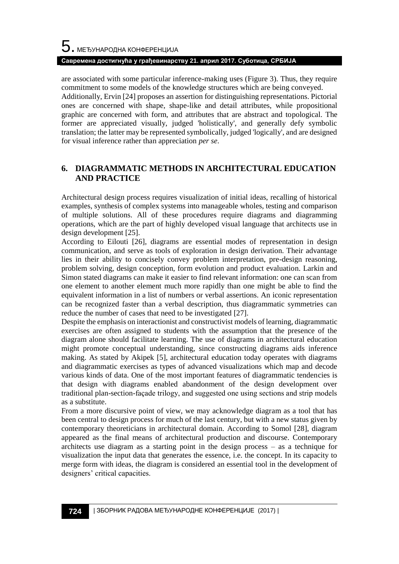are associated with some particular inference-making uses (Figure 3). Thus, they require commitment to some models of the knowledge structures which are being conveyed.

Additionally, Ervin [24] proposes an assertion for distinguishing representations. Pictorial ones are concerned with shape, shape-like and detail attributes, while propositional graphic are concerned with form, and attributes that are abstract and topological. The former are appreciated visually, judged 'holistically', and generally defy symbolic translation; the latter may be represented symbolically, judged 'logically', and are designed for visual inference rather than appreciation *per se*.

#### **6. DIAGRAMMATIC METHODS IN ARCHITECTURAL EDUCATION AND PRACTICE**

Architectural design process requires visualization of initial ideas, recalling of historical examples, synthesis of complex systems into manageable wholes, testing and comparison of multiple solutions. All of these procedures require diagrams and diagramming operations, which are the part of highly developed visual language that architects use in design development [25].

According to Eilouti [26], diagrams are essential modes of representation in design communication, and serve as tools of exploration in design derivation. Their advantage lies in their ability to concisely convey problem interpretation, pre-design reasoning, problem solving, design conception, form evolution and product evaluation. Larkin and Simon stated diagrams can make it easier to find relevant information: one can scan from one element to another element much more rapidly than one might be able to find the equivalent information in a list of numbers or verbal assertions. An iconic representation can be recognized faster than a verbal description, thus diagrammatic symmetries can reduce the number of cases that need to be investigated [27].

Despite the emphasis on interactionist and constructivist models of learning, diagrammatic exercises are often assigned to students with the assumption that the presence of the diagram alone should facilitate learning. The use of diagrams in architectural education might promote conceptual understanding, since constructing diagrams aids inference making. As stated by Akipek [5], architectural education today operates with diagrams and diagrammatic exercises as types of advanced visualizations which map and decode various kinds of data. One of the most important features of diagrammatic tendencies is that design with diagrams enabled abandonment of the design development over traditional plan-section-façade trilogy, and suggested one using sections and strip models as a substitute.

From a more discursive point of view, we may acknowledge diagram as a tool that has been central to design process for much of the last century, but with a new status given by contemporary theoreticians in architectural domain. According to Somol [28], diagram appeared as the final means of architectural production and discourse. Contemporary architects use diagram as a starting point in the design process – as a technique for visualization the input data that generates the essence, i.e. the concept. In its capacity to merge form with ideas, the diagram is considered an essential tool in the development of designers' critical capacities.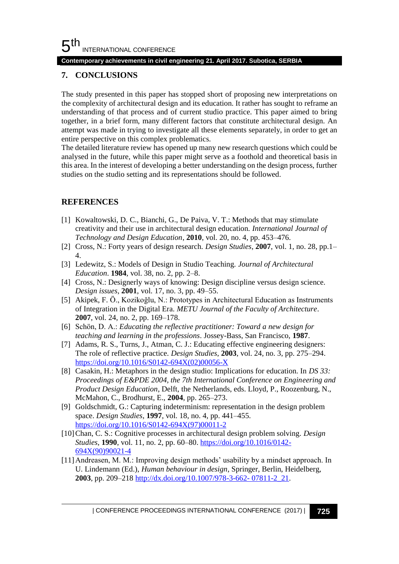#### **Contemporary achievements in civil engineering 21. April 2017. Subotica, SERBIA**

#### **7. CONCLUSIONS**

The study presented in this paper has stopped short of proposing new interpretations on the complexity of architectural design and its education. It rather has sought to reframe an understanding of that process and of current studio practice. This paper aimed to bring together, in a brief form, many different factors that constitute architectural design. An attempt was made in trying to investigate all these elements separately, in order to get an entire perspective on this complex problematics.

The detailed literature review has opened up many new research questions which could be analysed in the future, while this paper might serve as a foothold and theoretical basis in this area. In the interest of developing a better understanding on the design process, further studies on the studio setting and its representations should be followed.

#### **REFERENCES**

- [1] Kowaltowski, D. C., Bianchi, G., De Paiva, V. T.: Methods that may stimulate creativity and their use in architectural design education. *International Journal of Technology and Design Education*, **2010**, vol. 20, no. 4, pp. 453–476.
- [2] Cross, N.: Forty years of design research. *Design Studies*, **2007**, vol. 1, no. 28, pp.1– 4.
- [3] Ledewitz, S.: Models of Design in Studio Teaching. *Journal of Architectural Education*. **1984**, vol. 38, no. 2, pp. 2–8.
- [4] Cross, N.: Designerly ways of knowing: Design discipline versus design science. *Design issues*, **2001**, vol. 17, no. 3, pp. 49–55.
- [5] Akipek, F. Ö., Kozikoğlu, N.: Prototypes in Architectural Education as Instruments of Integration in the Digital Era. *METU Journal of the Faculty of Architecture*. **2007**, vol. 24, no. 2, pp. 169–178.
- [6] Schön, D. A.: *Educating the reflective practitioner: Toward a new design for teaching and learning in the professions*. Jossey-Bass, San Francisco, **1987**.
- [7] Adams, R. S., Turns, J., Atman, C. J.: Educating effective engineering designers: The role of reflective practice. *Design Studies*, **2003**, vol. 24, no. 3, pp. 275–294. [https://doi.org/10.1016/S0142-694X\(02\)00056-X](https://doi.org/10.1016/S0142-694X(02)00056-X)
- [8] Casakin, H.: Metaphors in the design studio: Implications for education. In *DS 33: Proceedings of E&PDE 2004, the 7th International Conference on Engineering and Product Design Education*, Delft, the Netherlands, eds. Lloyd, P., Roozenburg, N., McMahon, C., Brodhurst, E., **2004**, pp. 265–273.
- [9] Goldschmidt, G.: Capturing indeterminism: representation in the design problem space. *Design Studies*, **1997**, vol. 18, no. 4, pp. 441–455. [https://doi.org/10.1016/S0142-694X\(97\)00011-2](https://doi.org/10.1016/S0142-694X(97)00011-2)
- [10]Chan, C. S.: Cognitive processes in architectural design problem solving. *Design Studies*, **1990**, vol. 11, no. 2, pp. 60–80. [https://doi.org/10.1016/0142-](https://doi.org/10.1016/0142-694X(90)90021-4) [694X\(90\)90021-4](https://doi.org/10.1016/0142-694X(90)90021-4)
- [11]Andreasen, M. M.: Improving design methods' usability by a mindset approach. In U. Lindemann (Ed.), *Human behaviour in design*, Springer, Berlin, Heidelberg, **2003**, pp. 209–218 [http://dx.doi.org/10.1007/978-3-662-](http://dx.doi.org/10.1007/978-3-662-%2007811-2_21) 07811-2\_21.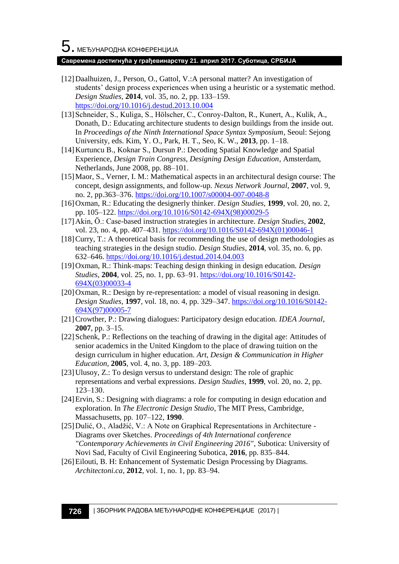#### **Савремена достигнућа у грађевинарству 21. април 2017. Суботица, СРБИЈА**

- [12]Daalhuizen, J., Person, O., Gattol, V.:A personal matter? An investigation of students' design process experiences when using a heuristic or a systematic method. *Design Studies*, **2014**, vol. 35, no. 2, pp. 133–159. <https://doi.org/10.1016/j.destud.2013.10.004>
- [13] Schneider, S., Kuliga, S., Hölscher, C., Conroy-Dalton, R., Kunert, A., Kulik, A., Donath, D.: Educating architecture students to design buildings from the inside out. In *Proceedings of the Ninth International Space Syntax Symposium*, Seoul: Sejong University, eds. Kim, Y. O., Park, H. T., Seo, K. W., **2013**, pp. 1–18.
- [14]Kurtuncu B., Koknar S., Dursun P.: Decoding Spatial Knowledge and Spatial Experience, *Design Train Congress, Designing Design Education*, Amsterdam, Netherlands, June 2008, pp. 88–101.
- [15]Maor, S., Verner, I. M.: Mathematical aspects in an architectural design course: The concept, design assignments, and follow-up. *Nexus Network Journal*, **2007**, vol. 9, no. 2, pp.363–376.<https://doi.org/10.1007/s00004-007-0048-8>
- [16]Oxman, R.: Educating the designerly thinker. *Design Studies*, **1999**, vol. 20, no. 2, pp. 105–122[. https://doi.org/10.1016/S0142-694X\(98\)00029-5](https://doi.org/10.1016/S0142-694X(98)00029-5)
- [17]Akin, Ö.: Case-based instruction strategies in architecture. *Design Studies*, **2002**, vol. 23, no. 4, pp. 407-431. [https://doi.org/10.1016/S0142-694X\(01\)00046-1](https://doi.org/10.1016/S0142-694X(01)00046-1)
- [18]Curry, T.: A theoretical basis for recommending the use of design methodologies as teaching strategies in the design studio. *Design Studies*, **2014**, vol. 35, no. 6, pp. 632–646[. https://doi.org/10.1016/j.destud.2014.04.003](https://doi.org/10.1016/j.destud.2014.04.003)
- [19]Oxman, R.: Think-maps: Teaching design thinking in design education. *Design Studies*, **2004**, vol. 25, no. 1, pp. 63–91. [https://doi.org/10.1016/S0142-](https://doi.org/10.1016/S0142-694X(03)00033-4) [694X\(03\)00033-4](https://doi.org/10.1016/S0142-694X(03)00033-4)
- [20] Oxman, R.: Design by re-representation: a model of visual reasoning in design. *Design Studies*, **1997**, vol. 18, no. 4, pp. 329–347. [https://doi.org/10.1016/S0142-](https://doi.org/10.1016/S0142-694X(97)00005-7) [694X\(97\)00005-7](https://doi.org/10.1016/S0142-694X(97)00005-7)
- [21]Crowther, P.: Drawing dialogues: Participatory design education. *IDEA Journal*, **2007**, pp. 3–15.
- [22] Schenk, P.: Reflections on the teaching of drawing in the digital age: Attitudes of senior academics in the United Kingdom to the place of drawing tuition on the design curriculum in higher education. *Art, Design & Communication in Higher Education*, **2005**, vol. 4, no. 3, pp. 189–203.
- [23]Ulusoy, Z.: To design versus to understand design: The role of graphic representations and verbal expressions. *Design Studies*, **1999**, vol. 20, no. 2, pp. 123–130.
- [24]Ervin, S.: Designing with diagrams: a role for computing in design education and exploration. In *The Electronic Design Studio*, The MIT Press, Cambridge, Massachusetts, pp. 107–122, **1990**.
- [25]Dulić, O., Aladžić, V.: A Note on Graphical Representations in Architecture Diagrams over Sketches. *Proceedings of 4th International conference "Contemporary Achievements in Civil Engineering 2016"*, Subotica: University of Novi Sad, Faculty of Civil Engineering Subotica, **2016**, pp. 835–844.
- [26] Eilouti, B. H: Enhancement of Systematic Design Processing by Diagrams. *Architectoni.ca*, **2012**, vol. 1, no. 1, pp. 83–94.